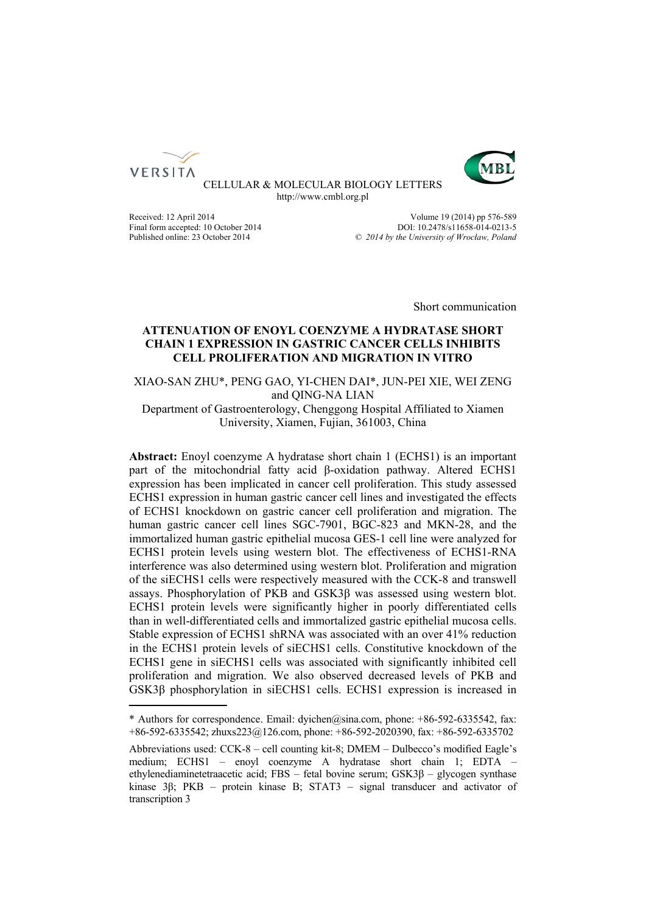



CELLULAR & MOLECULAR BIOLOGY LETTERS http://www.cmbl.org.pl

Final form accepted: 10 October 2014<br>Published online: 23 October 2014

Received: 12 April 2014<br>
Final form accepted: 10 October 2014<br>
PDDI: 10.2478/s11658-014-0213-5 Published online: 23 October 2014 *© 2014 by the University of Wrocław, Poland*

Short communication

# **ATTENUATION OF ENOYL COENZYME A HYDRATASE SHORT CHAIN 1 EXPRESSION IN GASTRIC CANCER CELLS INHIBITS CELL PROLIFERATION AND MIGRATION IN VITRO**

XIAO-SAN ZHU\*, PENG GAO, YI-CHEN DAI\*, JUN-PEI XIE, WEI ZENG and QING-NA LIAN

Department of Gastroenterology, Chenggong Hospital Affiliated to Xiamen University, Xiamen, Fujian, 361003, China

**Abstract:** Enoyl coenzyme A hydratase short chain 1 (ECHS1) is an important part of the mitochondrial fatty acid β-oxidation pathway. Altered ECHS1 expression has been implicated in cancer cell proliferation. This study assessed ECHS1 expression in human gastric cancer cell lines and investigated the effects of ECHS1 knockdown on gastric cancer cell proliferation and migration. The human gastric cancer cell lines SGC-7901, BGC-823 and MKN-28, and the immortalized human gastric epithelial mucosa GES-1 cell line were analyzed for ECHS1 protein levels using western blot. The effectiveness of ECHS1-RNA interference was also determined using western blot. Proliferation and migration of the siECHS1 cells were respectively measured with the CCK-8 and transwell assays. Phosphorylation of PKB and GSK3β was assessed using western blot. ECHS1 protein levels were significantly higher in poorly differentiated cells than in well-differentiated cells and immortalized gastric epithelial mucosa cells. Stable expression of ECHS1 shRNA was associated with an over 41% reduction in the ECHS1 protein levels of siECHS1 cells. Constitutive knockdown of the ECHS1 gene in siECHS1 cells was associated with significantly inhibited cell proliferation and migration. We also observed decreased levels of PKB and GSK3β phosphorylation in siECHS1 cells. ECHS1 expression is increased in

<sup>\*</sup> Authors for correspondence. Email: dyichen@sina.com, phone: +86-592-6335542, fax: +86-592-6335542; zhuxs223@126.com, phone: +86-592-2020390, fax: +86-592-6335702

Abbreviations used: CCK-8 – cell counting kit-8; DMEM – Dulbecco's modified Eagle's medium; ECHS1 – enoyl coenzyme A hydratase short chain 1; EDTA – ethylenediaminetetraacetic acid; FBS – fetal bovine serum; GSK3β – glycogen synthase kinase 3β; PKB – protein kinase B; STAT3 – signal transducer and activator of transcription 3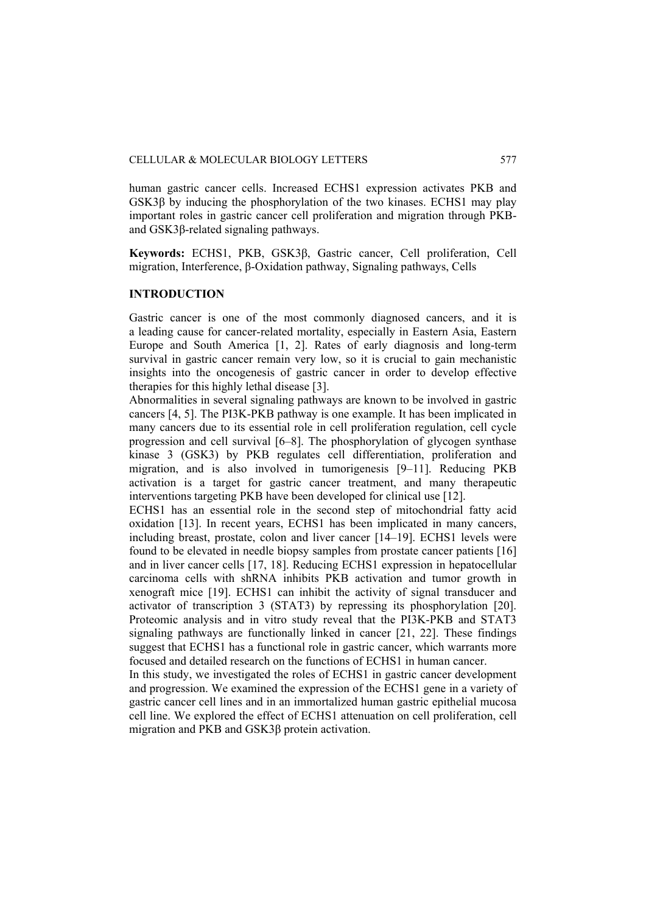human gastric cancer cells. Increased ECHS1 expression activates PKB and GSK3β by inducing the phosphorylation of the two kinases. ECHS1 may play important roles in gastric cancer cell proliferation and migration through PKBand GSK3β-related signaling pathways.

**Keywords:** ECHS1, PKB, GSK3β, Gastric cancer, Cell proliferation, Cell migration, Interference, β-Oxidation pathway, Signaling pathways, Cells

## **INTRODUCTION**

Gastric cancer is one of the most commonly diagnosed cancers, and it is a leading cause for cancer-related mortality, especially in Eastern Asia, Eastern Europe and South America [1, 2]. Rates of early diagnosis and long-term survival in gastric cancer remain very low, so it is crucial to gain mechanistic insights into the oncogenesis of gastric cancer in order to develop effective therapies for this highly lethal disease [3].

Abnormalities in several signaling pathways are known to be involved in gastric cancers [4, 5]. The PI3K-PKB pathway is one example. It has been implicated in many cancers due to its essential role in cell proliferation regulation, cell cycle progression and cell survival [6–8]. The phosphorylation of glycogen synthase kinase 3 (GSK3) by PKB regulates cell differentiation, proliferation and migration, and is also involved in tumorigenesis [9–11]. Reducing PKB activation is a target for gastric cancer treatment, and many therapeutic interventions targeting PKB have been developed for clinical use [12].

ECHS1 has an essential role in the second step of mitochondrial fatty acid oxidation [13]. In recent years, ECHS1 has been implicated in many cancers, including breast, prostate, colon and liver cancer [14–19]. ECHS1 levels were found to be elevated in needle biopsy samples from prostate cancer patients [16] and in liver cancer cells [17, 18]. Reducing ECHS1 expression in hepatocellular carcinoma cells with shRNA inhibits PKB activation and tumor growth in xenograft mice [19]. ECHS1 can inhibit the activity of signal transducer and activator of transcription 3 (STAT3) by repressing its phosphorylation [20]. Proteomic analysis and in vitro study reveal that the PI3K-PKB and STAT3 signaling pathways are functionally linked in cancer [21, 22]. These findings suggest that ECHS1 has a functional role in gastric cancer, which warrants more focused and detailed research on the functions of ECHS1 in human cancer.

In this study, we investigated the roles of ECHS1 in gastric cancer development and progression. We examined the expression of the ECHS1 gene in a variety of gastric cancer cell lines and in an immortalized human gastric epithelial mucosa cell line. We explored the effect of ECHS1 attenuation on cell proliferation, cell migration and PKB and GSK3β protein activation.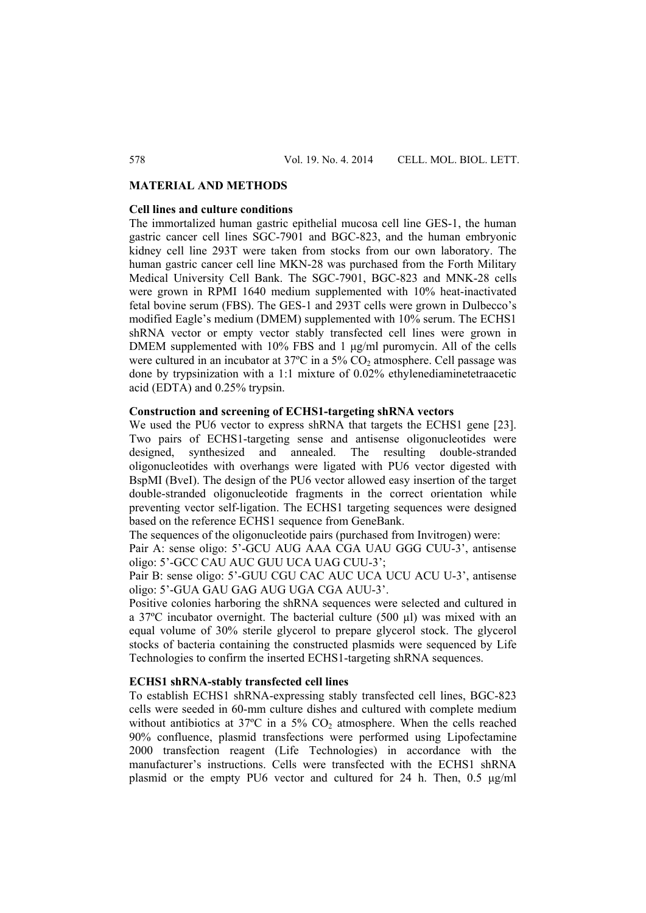# **MATERIAL AND METHODS**

## **Cell lines and culture conditions**

The immortalized human gastric epithelial mucosa cell line GES-1, the human gastric cancer cell lines SGC-7901 and BGC-823, and the human embryonic kidney cell line 293T were taken from stocks from our own laboratory. The human gastric cancer cell line MKN-28 was purchased from the Forth Military Medical University Cell Bank. The SGC-7901, BGC-823 and MNK-28 cells were grown in RPMI 1640 medium supplemented with 10% heat-inactivated fetal bovine serum (FBS). The GES-1 and 293T cells were grown in Dulbecco's modified Eagle's medium (DMEM) supplemented with 10% serum. The ECHS1 shRNA vector or empty vector stably transfected cell lines were grown in DMEM supplemented with 10% FBS and 1 μg/ml puromycin. All of the cells were cultured in an incubator at  $37^{\circ}$ C in a  $5\%$  CO<sub>2</sub> atmosphere. Cell passage was done by trypsinization with a 1:1 mixture of 0.02% ethylenediaminetetraacetic acid (EDTA) and 0.25% trypsin.

# **Construction and screening of ECHS1-targeting shRNA vectors**

We used the PU6 vector to express shRNA that targets the ECHS1 gene [23]. Two pairs of ECHS1-targeting sense and antisense oligonucleotides were designed, synthesized and annealed. The resulting double-stranded oligonucleotides with overhangs were ligated with PU6 vector digested with BspMI (BveI). The design of the PU6 vector allowed easy insertion of the target double-stranded oligonucleotide fragments in the correct orientation while preventing vector self-ligation. The ECHS1 targeting sequences were designed based on the reference ECHS1 sequence from GeneBank.

The sequences of the oligonucleotide pairs (purchased from Invitrogen) were:

Pair A: sense oligo: 5'-GCU AUG AAA CGA UAU GGG CUU-3', antisense oligo: 5'-GCC CAU AUC GUU UCA UAG CUU-3';

Pair B: sense oligo: 5'-GUU CGU CAC AUC UCA UCU ACU U-3', antisense oligo: 5'-GUA GAU GAG AUG UGA CGA AUU-3'.

Positive colonies harboring the shRNA sequences were selected and cultured in a 37ºC incubator overnight. The bacterial culture (500 µl) was mixed with an equal volume of 30% sterile glycerol to prepare glycerol stock. The glycerol stocks of bacteria containing the constructed plasmids were sequenced by Life Technologies to confirm the inserted ECHS1-targeting shRNA sequences.

## **ECHS1 shRNA-stably transfected cell lines**

To establish ECHS1 shRNA-expressing stably transfected cell lines, BGC-823 cells were seeded in 60-mm culture dishes and cultured with complete medium without antibiotics at  $37^{\circ}$ C in a  $5\%$  CO<sub>2</sub> atmosphere. When the cells reached 90% confluence, plasmid transfections were performed using Lipofectamine 2000 transfection reagent (Life Technologies) in accordance with the manufacturer's instructions. Cells were transfected with the ECHS1 shRNA plasmid or the empty PU6 vector and cultured for 24 h. Then, 0.5 μg/ml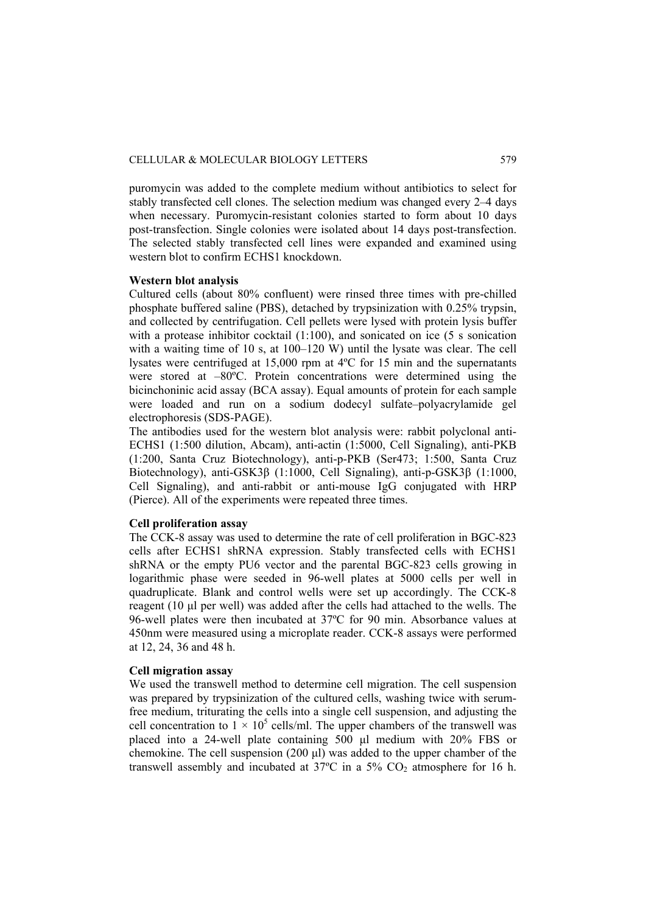puromycin was added to the complete medium without antibiotics to select for stably transfected cell clones. The selection medium was changed every 2–4 days when necessary. Puromycin-resistant colonies started to form about 10 days post-transfection. Single colonies were isolated about 14 days post-transfection. The selected stably transfected cell lines were expanded and examined using western blot to confirm ECHS1 knockdown.

## **Western blot analysis**

Cultured cells (about 80% confluent) were rinsed three times with pre-chilled phosphate buffered saline (PBS), detached by trypsinization with 0.25% trypsin, and collected by centrifugation. Cell pellets were lysed with protein lysis buffer with a protease inhibitor cocktail (1:100), and sonicated on ice (5 s sonication with a waiting time of 10 s, at 100–120 W) until the lysate was clear. The cell lysates were centrifuged at 15,000 rpm at 4ºC for 15 min and the supernatants were stored at –80ºC. Protein concentrations were determined using the bicinchoninic acid assay (BCA assay). Equal amounts of protein for each sample were loaded and run on a sodium dodecyl sulfate–polyacrylamide gel electrophoresis (SDS-PAGE).

The antibodies used for the western blot analysis were: rabbit polyclonal anti-ECHS1 (1:500 dilution, Abcam), anti-actin (1:5000, Cell Signaling), anti-PKB (1:200, Santa Cruz Biotechnology), anti-p-PKB (Ser473; 1:500, Santa Cruz Biotechnology), anti-GSK3β (1:1000, Cell Signaling), anti-p-GSK3β (1:1000, Cell Signaling), and anti-rabbit or anti-mouse IgG conjugated with HRP (Pierce). All of the experiments were repeated three times.

## **Cell proliferation assay**

The CCK-8 assay was used to determine the rate of cell proliferation in BGC-823 cells after ECHS1 shRNA expression. Stably transfected cells with ECHS1 shRNA or the empty PU6 vector and the parental BGC-823 cells growing in logarithmic phase were seeded in 96-well plates at 5000 cells per well in quadruplicate. Blank and control wells were set up accordingly. The CCK-8 reagent (10 μl per well) was added after the cells had attached to the wells. The 96-well plates were then incubated at 37ºC for 90 min. Absorbance values at 450nm were measured using a microplate reader. CCK-8 assays were performed at 12, 24, 36 and 48 h.

## **Cell migration assay**

We used the transwell method to determine cell migration. The cell suspension was prepared by trypsinization of the cultured cells, washing twice with serumfree medium, triturating the cells into a single cell suspension, and adjusting the cell concentration to  $1 \times 10^5$  cells/ml. The upper chambers of the transwell was placed into a 24-well plate containing 500 μl medium with 20% FBS or chemokine. The cell suspension (200 μl) was added to the upper chamber of the transwell assembly and incubated at  $37^{\circ}$ C in a  $5\%$  CO<sub>2</sub> atmosphere for 16 h.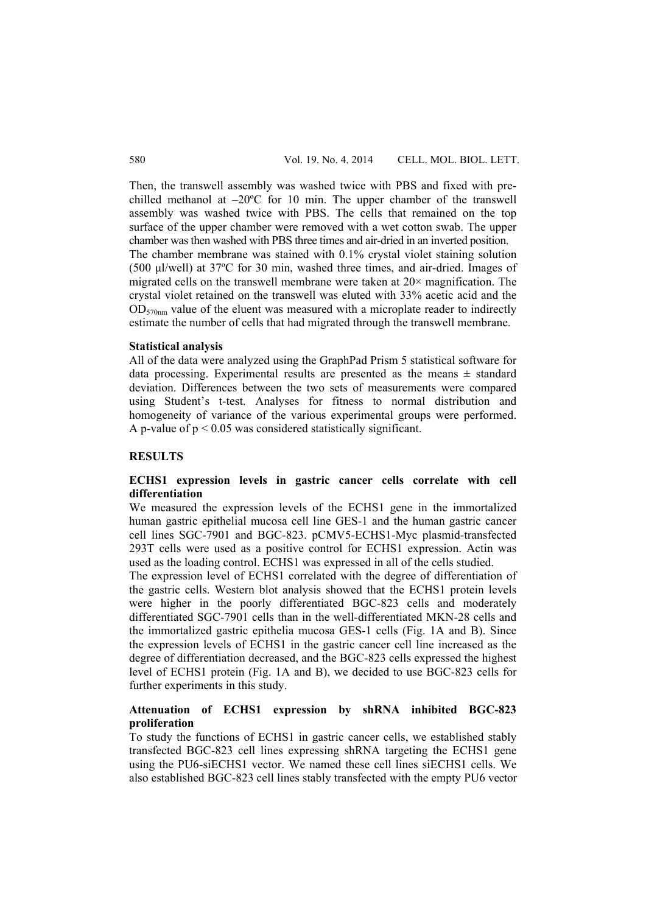Then, the transwell assembly was washed twice with PBS and fixed with prechilled methanol at –20ºC for 10 min. The upper chamber of the transwell assembly was washed twice with PBS. The cells that remained on the top surface of the upper chamber were removed with a wet cotton swab. The upper chamber was then washed with PBS three times and air-dried in an inverted position. The chamber membrane was stained with 0.1% crystal violet staining solution (500 μl/well) at 37ºC for 30 min, washed three times, and air-dried. Images of migrated cells on the transwell membrane were taken at  $20 \times$  magnification. The crystal violet retained on the transwell was eluted with 33% acetic acid and the  $OD_{570nm}$  value of the eluent was measured with a microplate reader to indirectly estimate the number of cells that had migrated through the transwell membrane.

#### **Statistical analysis**

All of the data were analyzed using the GraphPad Prism 5 statistical software for data processing. Experimental results are presented as the means  $\pm$  standard deviation. Differences between the two sets of measurements were compared using Student's t-test. Analyses for fitness to normal distribution and homogeneity of variance of the various experimental groups were performed. A p-value of  $p < 0.05$  was considered statistically significant.

## **RESULTS**

# **ECHS1 expression levels in gastric cancer cells correlate with cell differentiation**

We measured the expression levels of the ECHS1 gene in the immortalized human gastric epithelial mucosa cell line GES-1 and the human gastric cancer cell lines SGC-7901 and BGC-823. pCMV5-ECHS1-Myc plasmid-transfected 293T cells were used as a positive control for ECHS1 expression. Actin was used as the loading control. ECHS1 was expressed in all of the cells studied.

The expression level of ECHS1 correlated with the degree of differentiation of the gastric cells. Western blot analysis showed that the ECHS1 protein levels were higher in the poorly differentiated BGC-823 cells and moderately differentiated SGC-7901 cells than in the well-differentiated MKN-28 cells and the immortalized gastric epithelia mucosa GES-1 cells (Fig. 1A and B). Since the expression levels of ECHS1 in the gastric cancer cell line increased as the degree of differentiation decreased, and the BGC-823 cells expressed the highest level of ECHS1 protein (Fig. 1A and B), we decided to use BGC-823 cells for further experiments in this study.

# **Attenuation of ECHS1 expression by shRNA inhibited BGC-823 proliferation**

To study the functions of ECHS1 in gastric cancer cells, we established stably transfected BGC-823 cell lines expressing shRNA targeting the ECHS1 gene using the PU6-siECHS1 vector. We named these cell lines siECHS1 cells. We also established BGC-823 cell lines stably transfected with the empty PU6 vector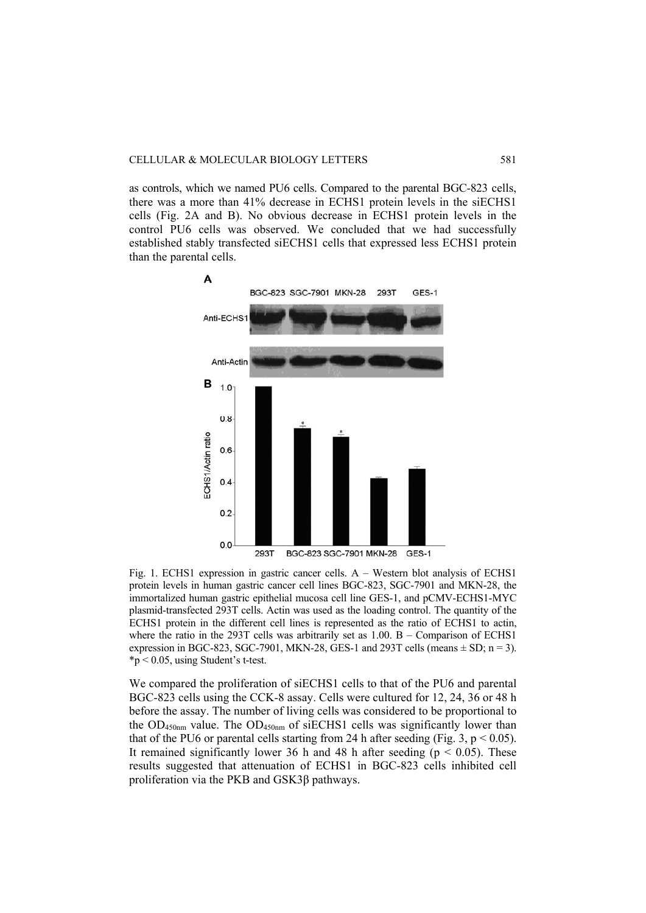as controls, which we named PU6 cells. Compared to the parental BGC-823 cells, there was a more than 41% decrease in ECHS1 protein levels in the siECHS1 cells (Fig. 2A and B). No obvious decrease in ECHS1 protein levels in the control PU6 cells was observed. We concluded that we had successfully established stably transfected siECHS1 cells that expressed less ECHS1 protein than the parental cells.



Fig. 1. ECHS1 expression in gastric cancer cells. A – Western blot analysis of ECHS1 protein levels in human gastric cancer cell lines BGC-823, SGC-7901 and MKN-28, the immortalized human gastric epithelial mucosa cell line GES-1, and pCMV-ECHS1-MYC plasmid-transfected 293T cells. Actin was used as the loading control. The quantity of the ECHS1 protein in the different cell lines is represented as the ratio of ECHS1 to actin, where the ratio in the 293T cells was arbitrarily set as  $1.00$ . B – Comparison of ECHS1 expression in BGC-823, SGC-7901, MKN-28, GES-1 and 293T cells (means  $\pm$  SD; n = 3).  $*p < 0.05$ , using Student's t-test.

We compared the proliferation of siECHS1 cells to that of the PU6 and parental BGC-823 cells using the CCK-8 assay. Cells were cultured for 12, 24, 36 or 48 h before the assay. The number of living cells was considered to be proportional to the  $OD_{450nm}$  value. The  $OD_{450nm}$  of siECHS1 cells was significantly lower than that of the PU6 or parental cells starting from 24 h after seeding (Fig. 3,  $p < 0.05$ ). It remained significantly lower 36 h and 48 h after seeding ( $p < 0.05$ ). These results suggested that attenuation of ECHS1 in BGC-823 cells inhibited cell proliferation via the PKB and GSK3β pathways.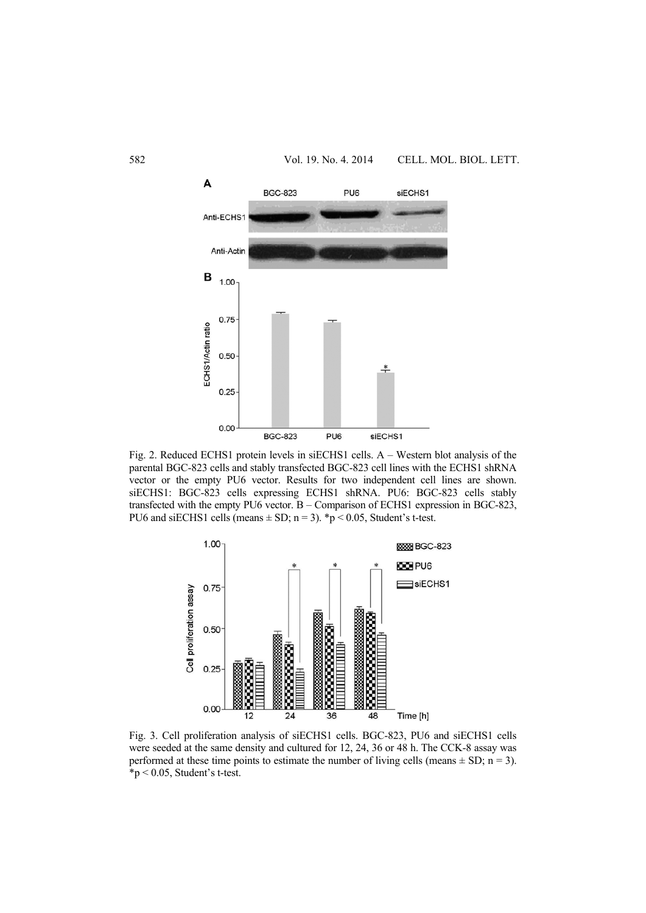

Fig. 2. Reduced ECHS1 protein levels in siECHS1 cells. A – Western blot analysis of the parental BGC-823 cells and stably transfected BGC-823 cell lines with the ECHS1 shRNA vector or the empty PU6 vector. Results for two independent cell lines are shown. siECHS1: BGC-823 cells expressing ECHS1 shRNA. PU6: BGC-823 cells stably transfected with the empty PU6 vector. B – Comparison of ECHS1 expression in BGC-823, PU6 and siECHS1 cells (means  $\pm$  SD; n = 3). \*p < 0.05, Student's t-test.



Fig. 3. Cell proliferation analysis of siECHS1 cells. BGC-823, PU6 and siECHS1 cells were seeded at the same density and cultured for 12, 24, 36 or 48 h. The CCK-8 assay was performed at these time points to estimate the number of living cells (means  $\pm$  SD; n = 3).  $*p < 0.05$ , Student's t-test.

# 582 Vol. 19. No. 4. 2014 CELL. MOL. BIOL. LETT.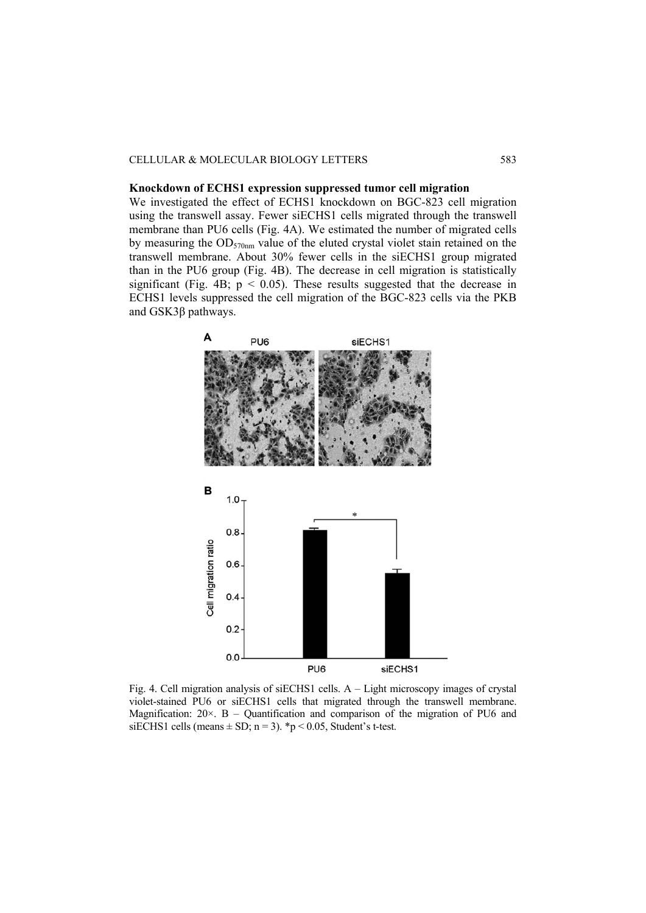#### CELLULAR & MOLECULAR BIOLOGY LETTERS 583

## **Knockdown of ECHS1 expression suppressed tumor cell migration**

We investigated the effect of ECHS1 knockdown on BGC-823 cell migration using the transwell assay. Fewer siECHS1 cells migrated through the transwell membrane than PU6 cells (Fig. 4A). We estimated the number of migrated cells by measuring the  $OD_{570nm}$  value of the eluted crystal violet stain retained on the transwell membrane. About 30% fewer cells in the siECHS1 group migrated than in the PU6 group (Fig. 4B). The decrease in cell migration is statistically significant (Fig. 4B;  $p < 0.05$ ). These results suggested that the decrease in ECHS1 levels suppressed the cell migration of the BGC-823 cells via the PKB and GSK3β pathways.



Fig. 4. Cell migration analysis of siECHS1 cells. A – Light microscopy images of crystal violet-stained PU6 or siECHS1 cells that migrated through the transwell membrane. Magnification:  $20 \times$ . B – Quantification and comparison of the migration of PU6 and siECHS1 cells (means  $\pm$  SD; n = 3). \*p < 0.05, Student's t-test.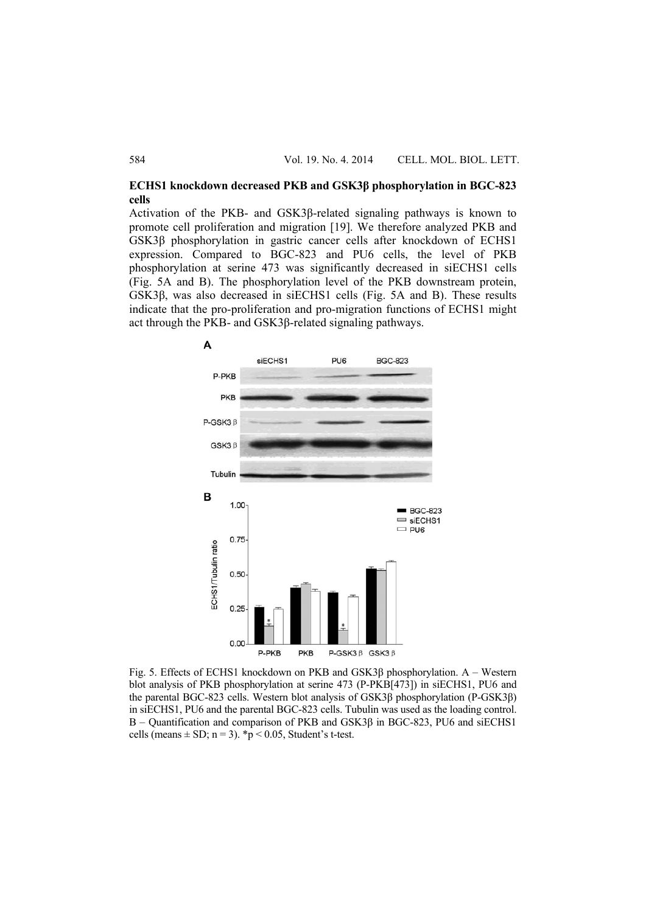# **ECHS1 knockdown decreased PKB and GSK3β phosphorylation in BGC-823 cells**

Activation of the PKB- and GSK3β-related signaling pathways is known to promote cell proliferation and migration [19]. We therefore analyzed PKB and GSK3β phosphorylation in gastric cancer cells after knockdown of ECHS1 expression. Compared to BGC-823 and PU6 cells, the level of PKB phosphorylation at serine 473 was significantly decreased in siECHS1 cells (Fig. 5A and B). The phosphorylation level of the PKB downstream protein, GSK3β, was also decreased in siECHS1 cells (Fig. 5A and B). These results indicate that the pro-proliferation and pro-migration functions of ECHS1 might act through the PKB- and GSK3β-related signaling pathways.



Fig. 5. Effects of ECHS1 knockdown on PKB and GSK3β phosphorylation. A – Western blot analysis of PKB phosphorylation at serine 473 (P-PKB[473]) in siECHS1, PU6 and the parental BGC-823 cells. Western blot analysis of GSK3β phosphorylation (P-GSK3β) in siECHS1, PU6 and the parental BGC-823 cells. Tubulin was used as the loading control. B – Quantification and comparison of PKB and GSK3β in BGC-823, PU6 and siECHS1 cells (means  $\pm$  SD; n = 3). \*p < 0.05, Student's t-test.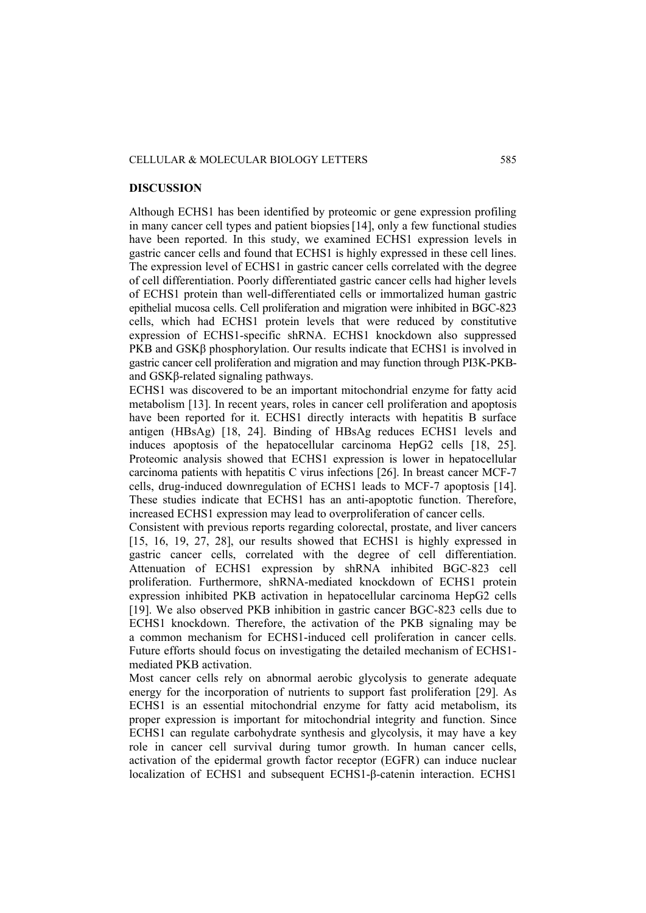## CELLULAR & MOLECULAR BIOLOGY LETTERS 585

#### **DISCUSSION**

Although ECHS1 has been identified by proteomic or gene expression profiling in many cancer cell types and patient biopsies[14], only a few functional studies have been reported. In this study, we examined ECHS1 expression levels in gastric cancer cells and found that ECHS1 is highly expressed in these cell lines. The expression level of ECHS1 in gastric cancer cells correlated with the degree of cell differentiation. Poorly differentiated gastric cancer cells had higher levels of ECHS1 protein than well-differentiated cells or immortalized human gastric epithelial mucosa cells. Cell proliferation and migration were inhibited in BGC-823 cells, which had ECHS1 protein levels that were reduced by constitutive expression of ECHS1-specific shRNA. ECHS1 knockdown also suppressed PKB and GSKβ phosphorylation. Our results indicate that ECHS1 is involved in gastric cancer cell proliferation and migration and may function through PI3K-PKBand GSKβ-related signaling pathways.

ECHS1 was discovered to be an important mitochondrial enzyme for fatty acid metabolism [13]. In recent years, roles in cancer cell proliferation and apoptosis have been reported for it. ECHS1 directly interacts with hepatitis B surface antigen (HBsAg) [18, 24]. Binding of HBsAg reduces ECHS1 levels and induces apoptosis of the hepatocellular carcinoma HepG2 cells [18, 25]. Proteomic analysis showed that ECHS1 expression is lower in hepatocellular carcinoma patients with hepatitis C virus infections [26]. In breast cancer MCF-7 cells, drug-induced downregulation of ECHS1 leads to MCF-7 apoptosis [14]. These studies indicate that ECHS1 has an anti-apoptotic function. Therefore, increased ECHS1 expression may lead to overproliferation of cancer cells.

Consistent with previous reports regarding colorectal, prostate, and liver cancers [15, 16, 19, 27, 28], our results showed that ECHS1 is highly expressed in gastric cancer cells, correlated with the degree of cell differentiation. Attenuation of ECHS1 expression by shRNA inhibited BGC-823 cell proliferation. Furthermore, shRNA-mediated knockdown of ECHS1 protein expression inhibited PKB activation in hepatocellular carcinoma HepG2 cells [19]. We also observed PKB inhibition in gastric cancer BGC-823 cells due to ECHS1 knockdown. Therefore, the activation of the PKB signaling may be a common mechanism for ECHS1-induced cell proliferation in cancer cells. Future efforts should focus on investigating the detailed mechanism of ECHS1 mediated PKB activation.

Most cancer cells rely on abnormal aerobic glycolysis to generate adequate energy for the incorporation of nutrients to support fast proliferation [29]. As ECHS1 is an essential mitochondrial enzyme for fatty acid metabolism, its proper expression is important for mitochondrial integrity and function. Since ECHS1 can regulate carbohydrate synthesis and glycolysis, it may have a key role in cancer cell survival during tumor growth. In human cancer cells, activation of the epidermal growth factor receptor (EGFR) can induce nuclear localization of ECHS1 and subsequent ECHS1-β-catenin interaction. ECHS1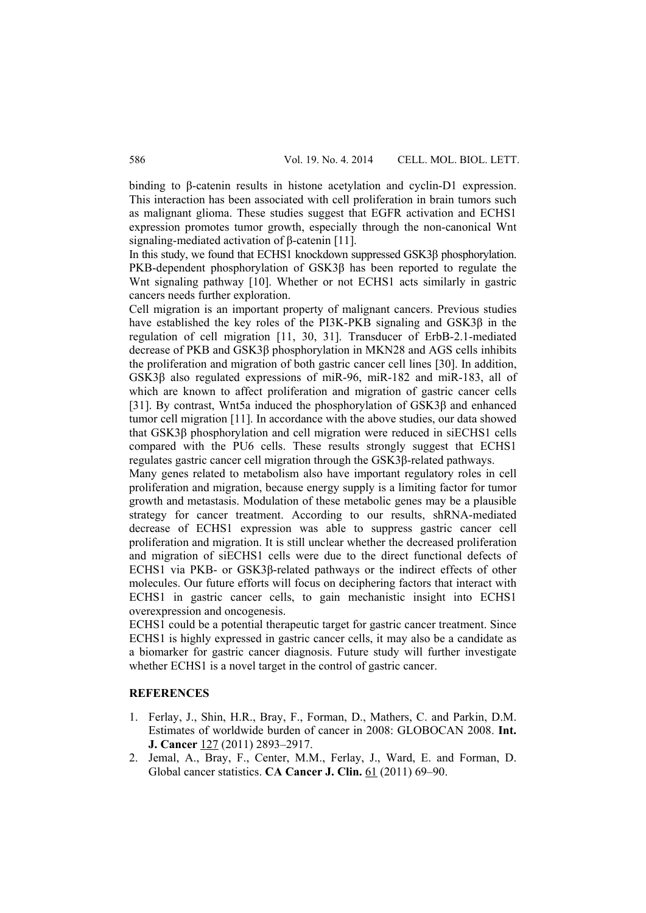binding to β-catenin results in histone acetylation and cyclin-D1 expression. This interaction has been associated with cell proliferation in brain tumors such as malignant glioma. These studies suggest that EGFR activation and ECHS1 expression promotes tumor growth, especially through the non-canonical Wnt signaling-mediated activation of β-catenin [11].

In this study, we found that ECHS1 knockdown suppressed GSK3β phosphorylation. PKB-dependent phosphorylation of GSK3β has been reported to regulate the Wnt signaling pathway [10]. Whether or not ECHS1 acts similarly in gastric cancers needs further exploration.

Cell migration is an important property of malignant cancers. Previous studies have established the key roles of the PI3K-PKB signaling and GSK3β in the regulation of cell migration [11, 30, 31]. Transducer of ErbB-2.1-mediated decrease of PKB and GSK3β phosphorylation in MKN28 and AGS cells inhibits the proliferation and migration of both gastric cancer cell lines [30]. In addition, GSK3β also regulated expressions of miR-96, miR-182 and miR-183, all of which are known to affect proliferation and migration of gastric cancer cells [31]. By contrast, Wnt5a induced the phosphorylation of GSK3β and enhanced tumor cell migration [11]. In accordance with the above studies, our data showed that GSK3β phosphorylation and cell migration were reduced in siECHS1 cells compared with the PU6 cells. These results strongly suggest that ECHS1 regulates gastric cancer cell migration through the GSK3β-related pathways.

Many genes related to metabolism also have important regulatory roles in cell proliferation and migration, because energy supply is a limiting factor for tumor growth and metastasis. Modulation of these metabolic genes may be a plausible strategy for cancer treatment. According to our results, shRNA-mediated decrease of ECHS1 expression was able to suppress gastric cancer cell proliferation and migration. It is still unclear whether the decreased proliferation and migration of siECHS1 cells were due to the direct functional defects of ECHS1 via PKB- or GSK3β-related pathways or the indirect effects of other molecules. Our future efforts will focus on deciphering factors that interact with ECHS1 in gastric cancer cells, to gain mechanistic insight into ECHS1 overexpression and oncogenesis.

ECHS1 could be a potential therapeutic target for gastric cancer treatment. Since ECHS1 is highly expressed in gastric cancer cells, it may also be a candidate as a biomarker for gastric cancer diagnosis. Future study will further investigate whether ECHS1 is a novel target in the control of gastric cancer.

# **REFERENCES**

- 1. Ferlay, J., Shin, H.R., Bray, F., Forman, D., Mathers, C. and Parkin, D.M. Estimates of worldwide burden of cancer in 2008: GLOBOCAN 2008. **Int. J. Cancer** 127 (2011) 2893–2917.
- 2. Jemal, A., Bray, F., Center, M.M., Ferlay, J., Ward, E. and Forman, D. Global cancer statistics. **CA Cancer J. Clin.** 61 (2011) 69–90.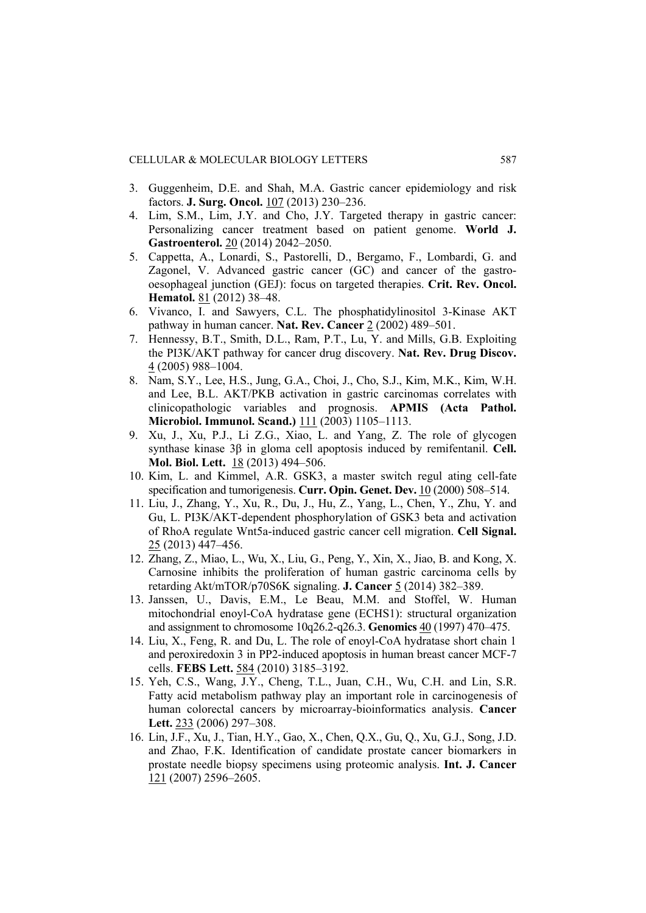- 3. Guggenheim, D.E. and Shah, M.A. Gastric cancer epidemiology and risk factors. **J. Surg. Oncol.** 107 (2013) 230–236.
- 4. Lim, S.M., Lim, J.Y. and Cho, J.Y. Targeted therapy in gastric cancer: Personalizing cancer treatment based on patient genome. **World J. Gastroenterol.** 20 (2014) 2042–2050.
- 5. Cappetta, A., Lonardi, S., Pastorelli, D., Bergamo, F., Lombardi, G. and Zagonel, V. Advanced gastric cancer (GC) and cancer of the gastrooesophageal junction (GEJ): focus on targeted therapies. **Crit. Rev. Oncol. Hematol.** 81 (2012) 38–48.
- 6. Vivanco, I. and Sawyers, C.L. The phosphatidylinositol 3-Kinase AKT pathway in human cancer. **Nat. Rev. Cancer** 2 (2002) 489–501.
- 7. Hennessy, B.T., Smith, D.L., Ram, P.T., Lu, Y. and Mills, G.B. Exploiting the PI3K/AKT pathway for cancer drug discovery. **Nat. Rev. Drug Discov.** 4 (2005) 988–1004.
- 8. Nam, S.Y., Lee, H.S., Jung, G.A., Choi, J., Cho, S.J., Kim, M.K., Kim, W.H. and Lee, B.L. AKT/PKB activation in gastric carcinomas correlates with clinicopathologic variables and prognosis. **APMIS (Acta Pathol. Microbiol. Immunol. Scand.)** 111 (2003) 1105–1113.
- 9. Xu, J., Xu, P.J., Li Z.G., Xiao, L. and Yang, Z. The role of glycogen synthase kinase 3β in gloma cell apoptosis induced by remifentanil. **Cell. Mol. Biol. Lett.** 18 (2013) 494–506.
- 10. Kim, L. and Kimmel, A.R. GSK3, a master switch regul ating cell-fate specification and tumorigenesis. **Curr. Opin. Genet. Dev.** 10 (2000) 508–514.
- 11. Liu, J., Zhang, Y., Xu, R., Du, J., Hu, Z., Yang, L., Chen, Y., Zhu, Y. and Gu, L. PI3K/AKT-dependent phosphorylation of GSK3 beta and activation of RhoA regulate Wnt5a-induced gastric cancer cell migration. **Cell Signal.** 25 (2013) 447–456.
- 12. Zhang, Z., Miao, L., Wu, X., Liu, G., Peng, Y., Xin, X., Jiao, B. and Kong, X. Carnosine inhibits the proliferation of human gastric carcinoma cells by retarding Akt/mTOR/p70S6K signaling. **J. Cancer** 5 (2014) 382–389.
- 13. Janssen, U., Davis, E.M., Le Beau, M.M. and Stoffel, W. Human mitochondrial enoyl-CoA hydratase gene (ECHS1): structural organization and assignment to chromosome 10q26.2-q26.3. **Genomics** 40 (1997) 470–475.
- 14. Liu, X., Feng, R. and Du, L. The role of enoyl-CoA hydratase short chain 1 and peroxiredoxin 3 in PP2-induced apoptosis in human breast cancer MCF-7 cells. **FEBS Lett.** 584 (2010) 3185–3192.
- 15. Yeh, C.S., Wang, J.Y., Cheng, T.L., Juan, C.H., Wu, C.H. and Lin, S.R. Fatty acid metabolism pathway play an important role in carcinogenesis of human colorectal cancers by microarray-bioinformatics analysis. **Cancer Lett.** 233 (2006) 297–308.
- 16. Lin, J.F., Xu, J., Tian, H.Y., Gao, X., Chen, Q.X., Gu, Q., Xu, G.J., Song, J.D. and Zhao, F.K. Identification of candidate prostate cancer biomarkers in prostate needle biopsy specimens using proteomic analysis. **Int. J. Cancer** 121 (2007) 2596–2605.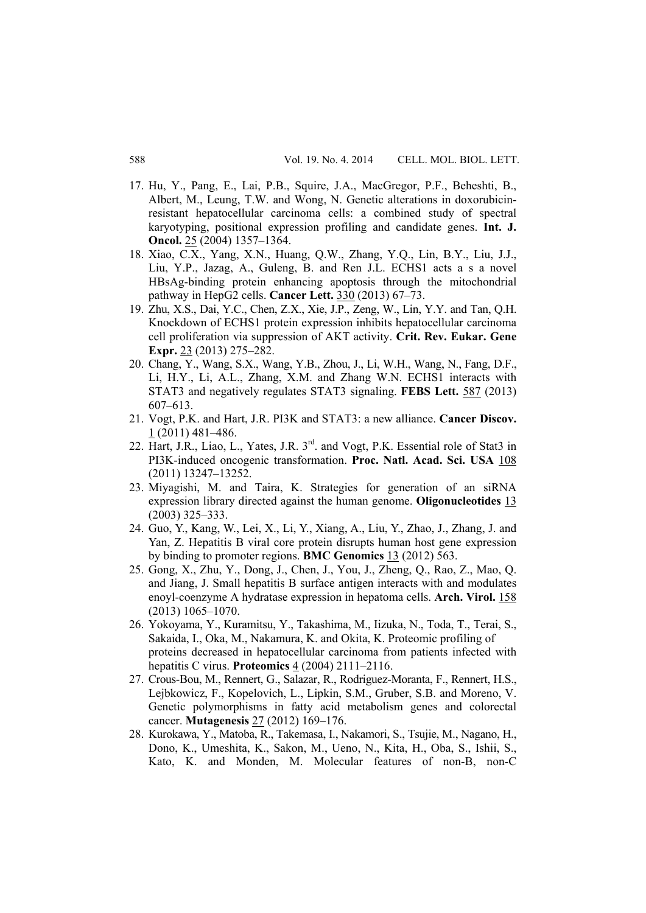- 17. Hu, Y., Pang, E., Lai, P.B., Squire, J.A., MacGregor, P.F., Beheshti, B., Albert, M., Leung, T.W. and Wong, N. Genetic alterations in doxorubicinresistant hepatocellular carcinoma cells: a combined study of spectral karyotyping, positional expression profiling and candidate genes. **Int. J. Oncol.** 25 (2004) 1357–1364.
- 18. Xiao, C.X., Yang, X.N., Huang, Q.W., Zhang, Y.Q., Lin, B.Y., Liu, J.J., Liu, Y.P., Jazag, A., Guleng, B. and Ren J.L. ECHS1 acts a s a novel HBsAg-binding protein enhancing apoptosis through the mitochondrial pathway in HepG2 cells. **Cancer Lett.** 330 (2013) 67–73.
- 19. Zhu, X.S., Dai, Y.C., Chen, Z.X., Xie, J.P., Zeng, W., Lin, Y.Y. and Tan, Q.H. Knockdown of ECHS1 protein expression inhibits hepatocellular carcinoma cell proliferation via suppression of AKT activity. **Crit. Rev. Eukar. Gene Expr.** 23 (2013) 275–282.
- 20. Chang, Y., Wang, S.X., Wang, Y.B., Zhou, J., Li, W.H., Wang, N., Fang, D.F., Li, H.Y., Li, A.L., Zhang, X.M. and Zhang W.N. ECHS1 interacts with STAT3 and negatively regulates STAT3 signaling. **FEBS Lett.** 587 (2013) 607–613.
- 21. Vogt, P.K. and Hart, J.R. PI3K and STAT3: a new alliance. **Cancer Discov.** 1 (2011) 481–486.
- 22. Hart, J.R., Liao, L., Yates, J.R.  $3<sup>rd</sup>$  and Vogt, P.K. Essential role of Stat3 in PI3K-induced oncogenic transformation. **Proc. Natl. Acad. Sci. USA** 108 (2011) 13247–13252.
- 23. Miyagishi, M. and Taira, K. Strategies for generation of an siRNA expression library directed against the human genome. **Oligonucleotides** 13 (2003) 325–333.
- 24. Guo, Y., Kang, W., Lei, X., Li, Y., Xiang, A., Liu, Y., Zhao, J., Zhang, J. and Yan, Z. Hepatitis B viral core protein disrupts human host gene expression by binding to promoter regions. **BMC Genomics** 13 (2012) 563.
- 25. Gong, X., Zhu, Y., Dong, J., Chen, J., You, J., Zheng, Q., Rao, Z., Mao, Q. and Jiang, J. Small hepatitis B surface antigen interacts with and modulates enoyl-coenzyme A hydratase expression in hepatoma cells. **Arch. Virol.** 158 (2013) 1065–1070.
- 26. Yokoyama, Y., Kuramitsu, Y., Takashima, M., Iizuka, N., Toda, T., Terai, S., Sakaida, I., Oka, M., Nakamura, K. and Okita, K. Proteomic profiling of proteins decreased in hepatocellular carcinoma from patients infected with hepatitis C virus. **Proteomics** 4 (2004) 2111–2116.
- 27. Crous-Bou, M., Rennert, G., Salazar, R., Rodriguez-Moranta, F., Rennert, H.S., Lejbkowicz, F., Kopelovich, L., Lipkin, S.M., Gruber, S.B. and Moreno, V. Genetic polymorphisms in fatty acid metabolism genes and colorectal cancer. **Mutagenesis** 27 (2012) 169–176.
- 28. Kurokawa, Y., Matoba, R., Takemasa, I., Nakamori, S., Tsujie, M., Nagano, H., Dono, K., Umeshita, K., Sakon, M., Ueno, N., Kita, H., Oba, S., Ishii, S., Kato, K. and Monden, M. Molecular features of non-B, non-C